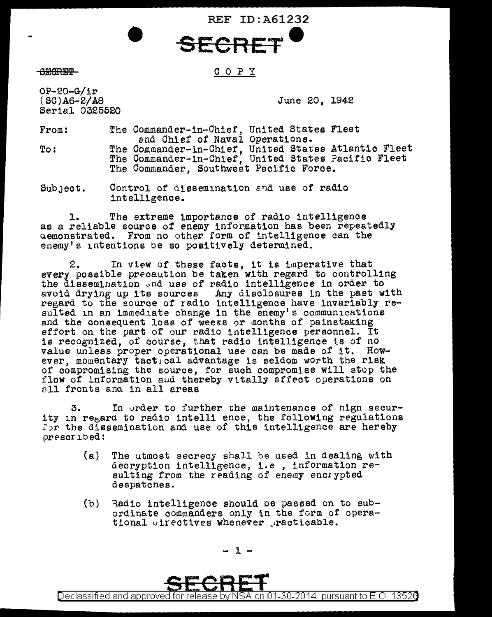REF ID:A61232



ORBP-

0 0 *p* y

OP-20-G/ir (SC)A6-2/A8 Serial 0325520

June 20, 1942

- From: To: The Commander-in-Chief, United States Fleet<br>end Chief of Naval Operations. end Chief of Naval Operations.<br>The Commander-in-Chief, United States Atlantic Fleet The Commander-in-Chief, United States Pacific Fleet The Commander, Southwest Pacific Force.
- Subject. Control of dissemination and use of radio intelligence.

1. The extreme importance of radio intelligence as a reliable source of enemy information has been repeatedly aemonstrated. From no other form of intelligence can the enemy's intentions be so positively determined.

2. In view of these facts, it is imperative that<br>every possible precaution be taken with regard to controlling the dissemination and use of radio intelligence in order to avoid drying up its sources Any disclosures ln the past with regard to the source of radio intelligence have invariably resulted in an immediate change in the enemy's communications and the consequent loss of weeks or months of painstaking effort on the part of our radio intelligence personnel. It is recognized, of course, that radio intelligence ts of no value unless proper operational use can be made of it. However, momentary tact cal advantage is seldom worth the risk of compromising the source, for such compromise will stop the flow of information and thereby vitally affect operations on all fronts and in all areas

3. In urder to further the maintenance of nign security in regara to radio intelli ence, the following regulations ;<br>for the dissemination and use of this intelligence are hereby  $prescribed:$ 

- (a) The utmost secrecy shall be used in dealing with decryption intelligence, 1.e , information resulting from the reading of enemy encrypted despatches.
- $(b)$  Radio intelligence should be passed on to subordinate commanders only in the form of opera-<br>tional uirectives whenever practicable.

- 1 -

<u>Declassified and approved for release by NSA on 01-30-2014 pursuant to E.O. 13526</u>